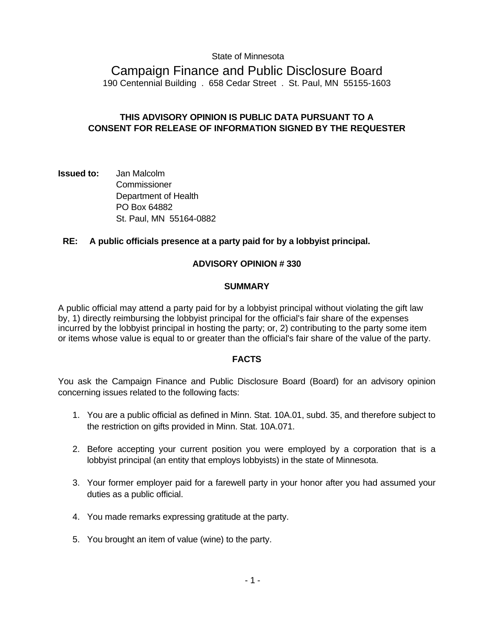#### State of Minnesota

# Campaign Finance and Public Disclosure Board

190 Centennial Building . 658 Cedar Street . St. Paul, MN 55155-1603

# **THIS ADVISORY OPINION IS PUBLIC DATA PURSUANT TO A CONSENT FOR RELEASE OF INFORMATION SIGNED BY THE REQUESTER**

**Issued to:** Jan Malcolm **Commissioner**  Department of Health PO Box 64882 St. Paul, MN 55164-0882

## **RE: A public officials presence at a party paid for by a lobbyist principal.**

## **ADVISORY OPINION # 330**

#### **SUMMARY**

A public official may attend a party paid for by a lobbyist principal without violating the gift law by, 1) directly reimbursing the lobbyist principal for the official's fair share of the expenses incurred by the lobbyist principal in hosting the party; or, 2) contributing to the party some item or items whose value is equal to or greater than the official's fair share of the value of the party.

## **FACTS**

You ask the Campaign Finance and Public Disclosure Board (Board) for an advisory opinion concerning issues related to the following facts:

- 1. You are a public official as defined in Minn. Stat. 10A.01, subd. 35, and therefore subject to the restriction on gifts provided in Minn. Stat. 10A.071.
- 2. Before accepting your current position you were employed by a corporation that is a lobbyist principal (an entity that employs lobbyists) in the state of Minnesota.
- 3. Your former employer paid for a farewell party in your honor after you had assumed your duties as a public official.
- 4. You made remarks expressing gratitude at the party.
- 5. You brought an item of value (wine) to the party.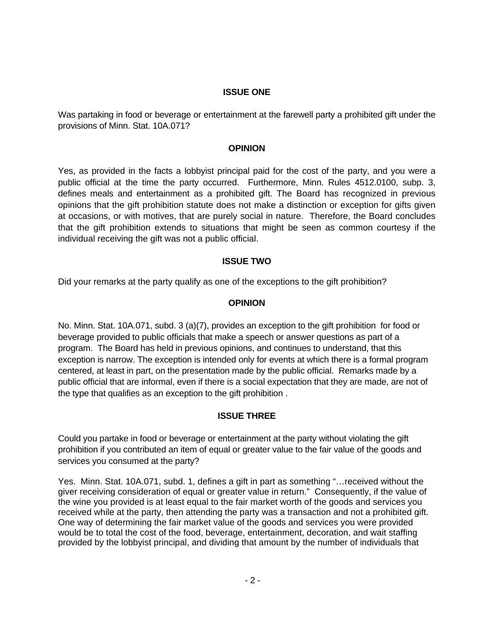#### **ISSUE ONE**

Was partaking in food or beverage or entertainment at the farewell party a prohibited gift under the provisions of Minn. Stat. 10A.071?

#### **OPINION**

Yes, as provided in the facts a lobbyist principal paid for the cost of the party, and you were a public official at the time the party occurred. Furthermore, Minn. Rules 4512.0100, subp. 3, defines meals and entertainment as a prohibited gift. The Board has recognized in previous opinions that the gift prohibition statute does not make a distinction or exception for gifts given at occasions, or with motives, that are purely social in nature. Therefore, the Board concludes that the gift prohibition extends to situations that might be seen as common courtesy if the individual receiving the gift was not a public official.

## **ISSUE TWO**

Did your remarks at the party qualify as one of the exceptions to the gift prohibition?

## **OPINION**

No. Minn. Stat. 10A.071, subd. 3 (a)(7), provides an exception to the gift prohibition for food or beverage provided to public officials that make a speech or answer questions as part of a program. The Board has held in previous opinions, and continues to understand, that this exception is narrow. The exception is intended only for events at which there is a formal program centered, at least in part, on the presentation made by the public official. Remarks made by a public official that are informal, even if there is a social expectation that they are made, are not of the type that qualifies as an exception to the gift prohibition .

## **ISSUE THREE**

Could you partake in food or beverage or entertainment at the party without violating the gift prohibition if you contributed an item of equal or greater value to the fair value of the goods and services you consumed at the party?

Yes. Minn. Stat. 10A.071, subd. 1, defines a gift in part as something "…received without the giver receiving consideration of equal or greater value in return." Consequently, if the value of the wine you provided is at least equal to the fair market worth of the goods and services you received while at the party, then attending the party was a transaction and not a prohibited gift. One way of determining the fair market value of the goods and services you were provided would be to total the cost of the food, beverage, entertainment, decoration, and wait staffing provided by the lobbyist principal, and dividing that amount by the number of individuals that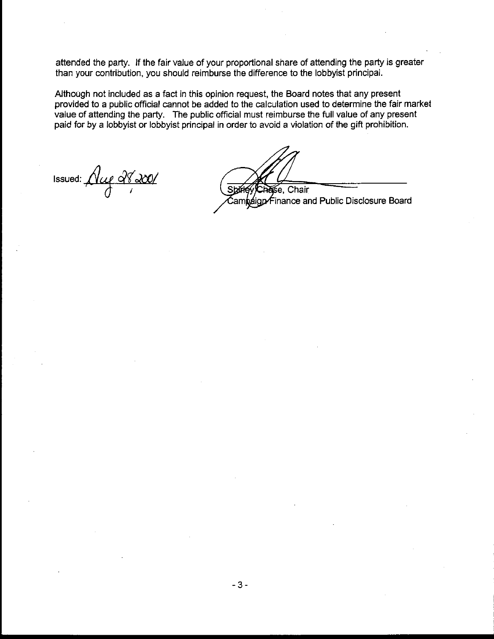attended the party. If the fair value of your proportional share of attending the party is greater than your contribution, you should reimburse the difference to the lobbyist principal.

Although not included as a fact in this opinion request, the Board notes that any present provided to a public official cannot be added to the calculation used to determine the fair market value of attending the party. The public official must reimburse the full value of any present paid for by a lobbyist or lobbyist principal in order to avoid a violation of the gift prohibition.

Issued: *iVieg d'8 de* 

Chair śе.

 $\epsilon$ inance and Public Disclosure Board osian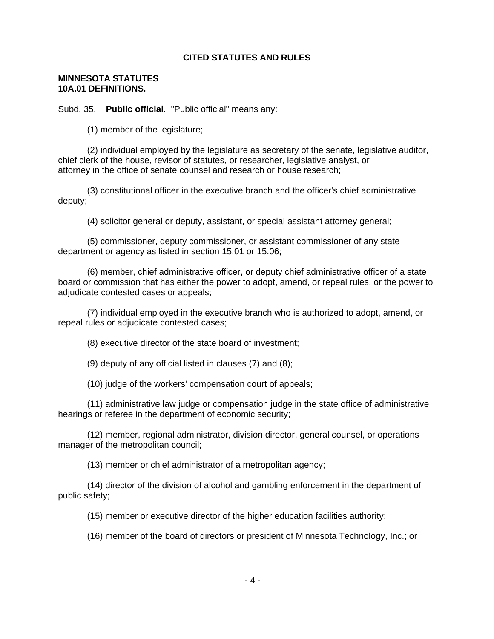## **CITED STATUTES AND RULES**

#### **MINNESOTA STATUTES 10A.01 DEFINITIONS.**

Subd. 35. **Public official**. "Public official" means any:

(1) member of the legislature;

 (2) individual employed by the legislature as secretary of the senate, legislative auditor, chief clerk of the house, revisor of statutes, or researcher, legislative analyst, or attorney in the office of senate counsel and research or house research;

 (3) constitutional officer in the executive branch and the officer's chief administrative deputy;

(4) solicitor general or deputy, assistant, or special assistant attorney general;

 (5) commissioner, deputy commissioner, or assistant commissioner of any state department or agency as listed in section 15.01 or 15.06;

 (6) member, chief administrative officer, or deputy chief administrative officer of a state board or commission that has either the power to adopt, amend, or repeal rules, or the power to adjudicate contested cases or appeals;

 (7) individual employed in the executive branch who is authorized to adopt, amend, or repeal rules or adjudicate contested cases;

(8) executive director of the state board of investment;

(9) deputy of any official listed in clauses (7) and (8);

(10) judge of the workers' compensation court of appeals;

 (11) administrative law judge or compensation judge in the state office of administrative hearings or referee in the department of economic security;

 (12) member, regional administrator, division director, general counsel, or operations manager of the metropolitan council;

(13) member or chief administrator of a metropolitan agency;

 (14) director of the division of alcohol and gambling enforcement in the department of public safety;

(15) member or executive director of the higher education facilities authority;

(16) member of the board of directors or president of Minnesota Technology, Inc.; or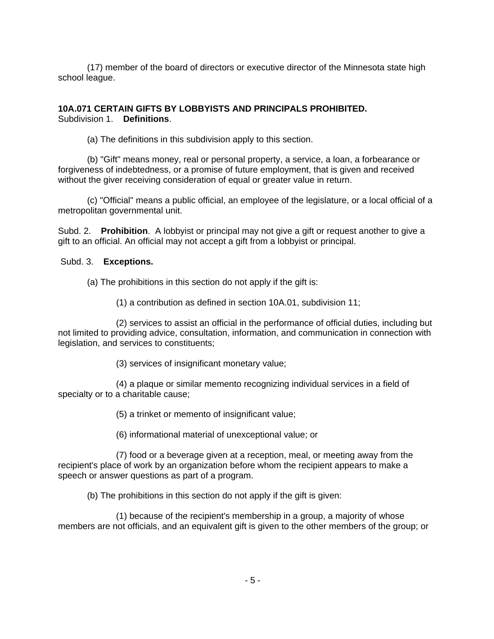(17) member of the board of directors or executive director of the Minnesota state high school league.

# **10A.071 CERTAIN GIFTS BY LOBBYISTS AND PRINCIPALS PROHIBITED.**  Subdivision 1. **Definitions**.

(a) The definitions in this subdivision apply to this section.

 (b) "Gift" means money, real or personal property, a service, a loan, a forbearance or forgiveness of indebtedness, or a promise of future employment, that is given and received without the giver receiving consideration of equal or greater value in return.

 (c) "Official" means a public official, an employee of the legislature, or a local official of a metropolitan governmental unit.

Subd. 2. **Prohibition**. A lobbyist or principal may not give a gift or request another to give a gift to an official. An official may not accept a gift from a lobbyist or principal.

# Subd. 3. **Exceptions.**

- (a) The prohibitions in this section do not apply if the gift is:
	- (1) a contribution as defined in section 10A.01, subdivision 11;

 (2) services to assist an official in the performance of official duties, including but not limited to providing advice, consultation, information, and communication in connection with legislation, and services to constituents;

(3) services of insignificant monetary value;

 (4) a plaque or similar memento recognizing individual services in a field of specialty or to a charitable cause;

(5) a trinket or memento of insignificant value;

(6) informational material of unexceptional value; or

 (7) food or a beverage given at a reception, meal, or meeting away from the recipient's place of work by an organization before whom the recipient appears to make a speech or answer questions as part of a program.

(b) The prohibitions in this section do not apply if the gift is given:

 (1) because of the recipient's membership in a group, a majority of whose members are not officials, and an equivalent gift is given to the other members of the group; or